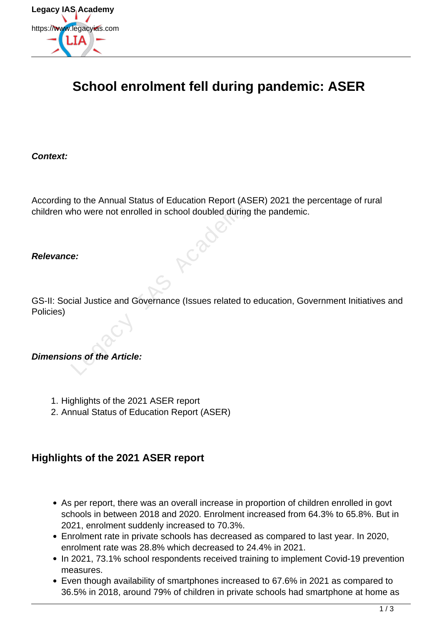

# **School enrolment fell during pandemic: ASER**

**Context:**

According to the Annual Status of Education Report (ASER) 2021 the percentage of rural children who were not enrolled in school doubled during the pandemic.

#### **Relevance:**

GS-II: Social Justice and Governance (Issues related to education, Government Initiatives and Policies) The Mindial States of Education Report (AST)<br>the were not enrolled in school doubled during<br>e:<br>cial Justice and Governance (Issues related to<br>ans of the Article:

#### **Dimensions of the Article:**

- 1. Highlights of the 2021 ASER report
- 2. Annual Status of Education Report (ASER)

### **Highlights of the 2021 ASER report**

- As per report, there was an overall increase in proportion of children enrolled in govt schools in between 2018 and 2020. Enrolment increased from 64.3% to 65.8%. But in 2021, enrolment suddenly increased to 70.3%.
- Enrolment rate in private schools has decreased as compared to last year. In 2020, enrolment rate was 28.8% which decreased to 24.4% in 2021.
- In 2021, 73.1% school respondents received training to implement Covid-19 prevention measures.
- Even though availability of smartphones increased to 67.6% in 2021 as compared to 36.5% in 2018, around 79% of children in private schools had smartphone at home as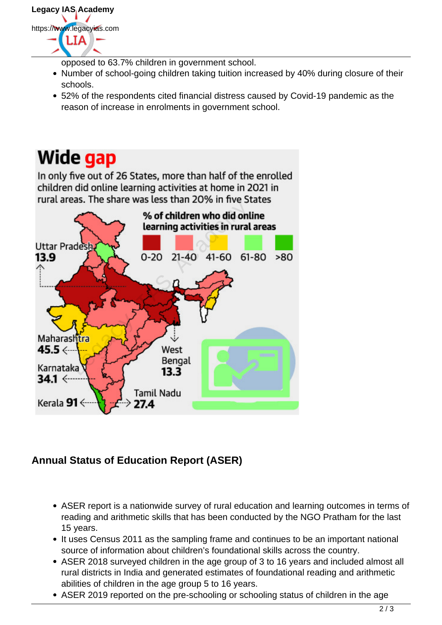

- opposed to 63.7% children in government school.
- Number of school-going children taking tuition increased by 40% during closure of their schools.
- 52% of the respondents cited financial distress caused by Covid-19 pandemic as the reason of increase in enrolments in government school.

# Wide gap

In only five out of 26 States, more than half of the enrolled children did online learning activities at home in 2021 in



## **Annual Status of Education Report (ASER)**

- ASER report is a nationwide survey of rural education and learning outcomes in terms of reading and arithmetic skills that has been conducted by the NGO Pratham for the last 15 years.
- It uses Census 2011 as the sampling frame and continues to be an important national source of information about children's foundational skills across the country.
- ASER 2018 surveyed children in the age group of 3 to 16 years and included almost all rural districts in India and generated estimates of foundational reading and arithmetic abilities of children in the age group 5 to 16 years.
- ASER 2019 reported on the pre-schooling or schooling status of children in the age